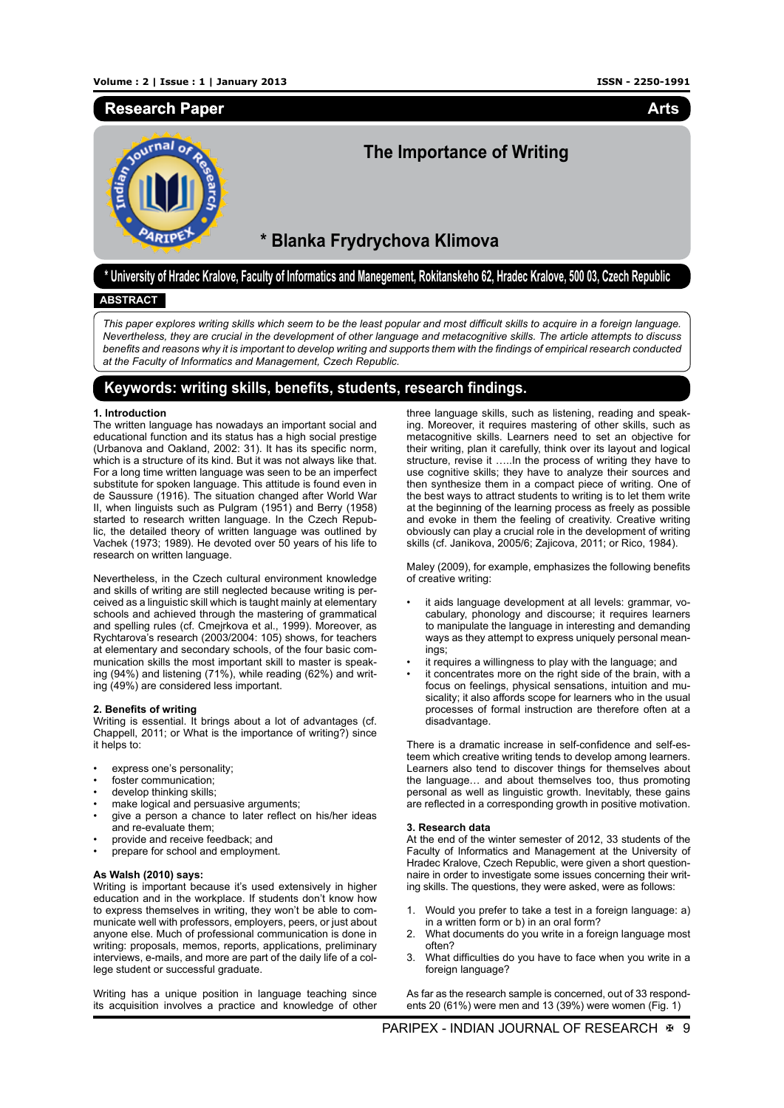## **Research Paper**

**Arts**



# **The Importance of Writing**

# **\* Blanka Frydrychova Klimova**

# **\* University of Hradec Kralove, Faculty of Informatics and Manegement, Rokitanskeho 62, Hradec Kralove, 500 03, Czech Republic**

## **ABSTRACT**

*This paper explores writing skills which seem to be the least popular and most difficult skills to acquire in a foreign language. Nevertheless, they are crucial in the development of other language and metacognitive skills. The article attempts to discuss benefits and reasons why it is important to develop writing and supports them with the findings of empirical research conducted at the Faculty of Informatics and Management, Czech Republic.*

# **Keywords: writing skills, benefits, students, research findings.**

## **1. Introduction**

The written language has nowadays an important social and educational function and its status has a high social prestige (Urbanova and Oakland, 2002: 31). It has its specific norm, which is a structure of its kind. But it was not always like that. For a long time written language was seen to be an imperfect substitute for spoken language. This attitude is found even in de Saussure (1916). The situation changed after World War II, when linguists such as Pulgram (1951) and Berry (1958) started to research written language. In the Czech Republic, the detailed theory of written language was outlined by Vachek (1973; 1989). He devoted over 50 years of his life to research on written language.

Nevertheless, in the Czech cultural environment knowledge and skills of writing are still neglected because writing is perceived as a linguistic skill which is taught mainly at elementary schools and achieved through the mastering of grammatical and spelling rules (cf. Cmejrkova et al., 1999). Moreover, as Rychtarova's research (2003/2004: 105) shows, for teachers at elementary and secondary schools, of the four basic communication skills the most important skill to master is speaking (94%) and listening (71%), while reading (62%) and writing (49%) are considered less important.

#### **2. Benefits of writing**

Writing is essential. It brings about a lot of advantages (cf. Chappell, 2011; or What is the importance of writing?) since it helps to:

- express one's personality;
- foster communication;
- develop thinking skills;
- make logical and persuasive arguments;
- give a person a chance to later reflect on his/her ideas and re-evaluate them;
- provide and receive feedback; and
- prepare for school and employment.

### **As Walsh (2010) says:**

Writing is important because it's used extensively in higher education and in the workplace. If students don't know how to express themselves in writing, they won't be able to communicate well with professors, employers, peers, or just about anyone else. Much of professional communication is done in writing: proposals, memos, reports, applications, preliminary interviews, e-mails, and more are part of the daily life of a college student or successful graduate.

Writing has a unique position in language teaching since its acquisition involves a practice and knowledge of other three language skills, such as listening, reading and speaking. Moreover, it requires mastering of other skills, such as metacognitive skills. Learners need to set an objective for their writing, plan it carefully, think over its layout and logical structure, revise it …..In the process of writing they have to use cognitive skills; they have to analyze their sources and then synthesize them in a compact piece of writing. One of the best ways to attract students to writing is to let them write at the beginning of the learning process as freely as possible and evoke in them the feeling of creativity. Creative writing obviously can play a crucial role in the development of writing skills (cf. Janikova, 2005/6; Zajicova, 2011; or Rico, 1984).

Maley (2009), for example, emphasizes the following benefits of creative writing:

- it aids language development at all levels: grammar, vocabulary, phonology and discourse; it requires learners to manipulate the language in interesting and demanding ways as they attempt to express uniquely personal meanings;
- it requires a willingness to play with the language; and
- it concentrates more on the right side of the brain, with a focus on feelings, physical sensations, intuition and musicality; it also affords scope for learners who in the usual processes of formal instruction are therefore often at a disadvantage.

There is a dramatic increase in self-confidence and self-esteem which creative writing tends to develop among learners. Learners also tend to discover things for themselves about the language… and about themselves too, thus promoting personal as well as linguistic growth. Inevitably, these gains are reflected in a corresponding growth in positive motivation.

### **3. Research data**

At the end of the winter semester of 2012, 33 students of the Faculty of Informatics and Management at the University of Hradec Kralove, Czech Republic, were given a short questionnaire in order to investigate some issues concerning their writing skills. The questions, they were asked, were as follows:

- 1. Would you prefer to take a test in a foreign language: a) in a written form or b) in an oral form?
- 2. What documents do you write in a foreign language most often?
- 3. What difficulties do you have to face when you write in a foreign language?

As far as the research sample is concerned, out of 33 respondents 20 (61%) were men and 13 (39%) were women (Fig. 1)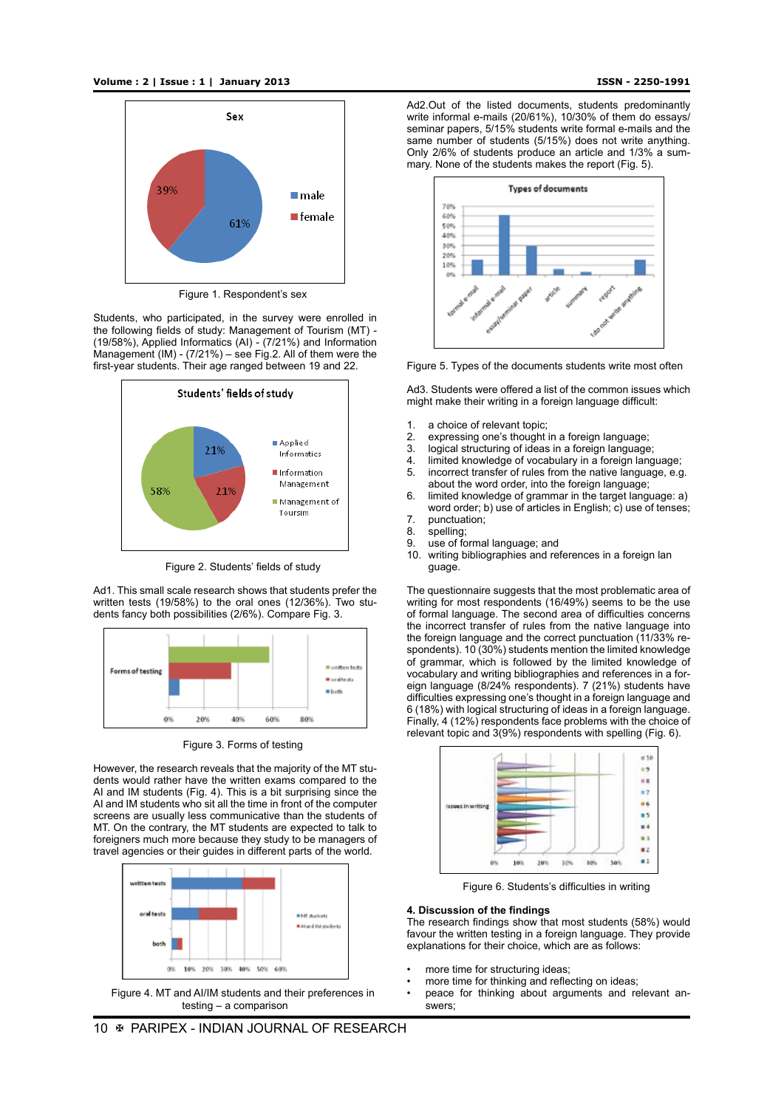

Figure 1. Respondent's sex

Students, who participated, in the survey were enrolled in the following fields of study: Management of Tourism (MT) - (19/58%), Applied Informatics (AI) - (7/21%) and Information Management (IM) - (7/21%) – see Fig.2. All of them were the first-year students. Their age ranged between 19 and 22.



Figure 2. Students' fields of study

Ad1. This small scale research shows that students prefer the written tests (19/58%) to the oral ones (12/36%). Two students fancy both possibilities (2/6%). Compare Fig. 3.



Figure 3. Forms of testing

However, the research reveals that the majority of the MT students would rather have the written exams compared to the AI and IM students (Fig. 4). This is a bit surprising since the AI and IM students who sit all the time in front of the computer screens are usually less communicative than the students of MT. On the contrary, the MT students are expected to talk to foreigners much more because they study to be managers of travel agencies or their guides in different parts of the world.



Figure 4. MT and AI/IM students and their preferences in testing – a comparison

Ad2.Out of the listed documents, students predominantly write informal e-mails (20/61%), 10/30% of them do essays/ seminar papers, 5/15% students write formal e-mails and the same number of students (5/15%) does not write anything. Only 2/6% of students produce an article and 1/3% a summary. None of the students makes the report (Fig. 5).



Figure 5. Types of the documents students write most often

Ad3. Students were offered a list of the common issues which might make their writing in a foreign language difficult:

- 1. a choice of relevant topic;<br>2 expressing one's thought
- 2. expressing one's thought in a foreign language;<br>3. logical structuring of ideas in a foreign language
- 3. logical structuring of ideas in a foreign language;<br>4. limited knowledge of vocabulary in a foreign language
- 4. limited knowledge of vocabulary in a foreign language;<br>5. incorrect transfer of rules from the native language e.g.
- incorrect transfer of rules from the native language, e.g. about the word order, into the foreign language;
- 6. limited knowledge of grammar in the target language: a) word order; b) use of articles in English; c) use of tenses;
- 7. punctuation;<br>8. spelling;
- 8. spelling;<br>9 use of fo
- 
- 9. use of formal language; and<br>10. writing bibliographies and ref writing bibliographies and references in a foreign lan guage.

The questionnaire suggests that the most problematic area of writing for most respondents (16/49%) seems to be the use of formal language. The second area of difficulties concerns the incorrect transfer of rules from the native language into the foreign language and the correct punctuation (11/33% respondents). 10 (30%) students mention the limited knowledge of grammar, which is followed by the limited knowledge of vocabulary and writing bibliographies and references in a foreign language (8/24% respondents). 7 (21%) students have difficulties expressing one's thought in a foreign language and 6 (18%) with logical structuring of ideas in a foreign language. Finally, 4 (12%) respondents face problems with the choice of relevant topic and 3(9%) respondents with spelling (Fig. 6).



Figure 6. Students's difficulties in writing

#### **4. Discussion of the findings**

The research findings show that most students (58%) would favour the written testing in a foreign language. They provide explanations for their choice, which are as follows:

- more time for structuring ideas;
- more time for thinking and reflecting on ideas;
- peace for thinking about arguments and relevant answers;